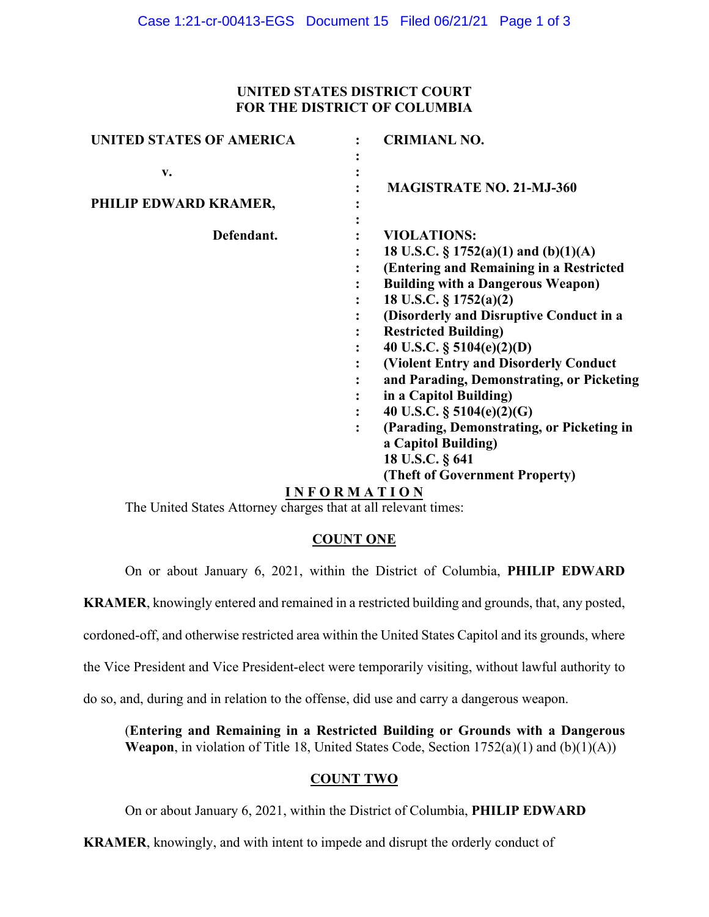## **UNITED STATES DISTRICT COURT FOR THE DISTRICT OF COLUMBIA**

| UNITED STATES OF AMERICA    | <b>CRIMIANL NO.</b>                                                                                                                                                                                                                                                                                                                                                                                                                                                                                                                                              |
|-----------------------------|------------------------------------------------------------------------------------------------------------------------------------------------------------------------------------------------------------------------------------------------------------------------------------------------------------------------------------------------------------------------------------------------------------------------------------------------------------------------------------------------------------------------------------------------------------------|
| v.<br>PHILIP EDWARD KRAMER, | <b>MAGISTRATE NO. 21-MJ-360</b>                                                                                                                                                                                                                                                                                                                                                                                                                                                                                                                                  |
| Defendant.                  | <b>VIOLATIONS:</b><br>18 U.S.C. $\S 1752(a)(1)$ and $(b)(1)(A)$<br>(Entering and Remaining in a Restricted<br><b>Building with a Dangerous Weapon)</b><br>18 U.S.C. § 1752(a)(2)<br>(Disorderly and Disruptive Conduct in a<br><b>Restricted Building)</b><br>40 U.S.C. $\S$ 5104(e)(2)(D)<br>(Violent Entry and Disorderly Conduct<br>and Parading, Demonstrating, or Picketing<br>in a Capitol Building)<br>40 U.S.C. § 5104(e)(2)(G)<br>(Parading, Demonstrating, or Picketing in<br>a Capitol Building)<br>18 U.S.C. § 641<br>(Theft of Government Property) |
|                             |                                                                                                                                                                                                                                                                                                                                                                                                                                                                                                                                                                  |

# **I N F O R M A T I O N**

The United States Attorney charges that at all relevant times:

# **COUNT ONE**

On or about January 6, 2021, within the District of Columbia, **PHILIP EDWARD** 

**KRAMER**, knowingly entered and remained in a restricted building and grounds, that, any posted,

cordoned-off, and otherwise restricted area within the United States Capitol and its grounds, where

the Vice President and Vice President-elect were temporarily visiting, without lawful authority to

do so, and, during and in relation to the offense, did use and carry a dangerous weapon.

(**Entering and Remaining in a Restricted Building or Grounds with a Dangerous Weapon**, in violation of Title 18, United States Code, Section 1752(a)(1) and (b)(1)(A))

## **COUNT TWO**

On or about January 6, 2021, within the District of Columbia, **PHILIP EDWARD** 

**KRAMER**, knowingly, and with intent to impede and disrupt the orderly conduct of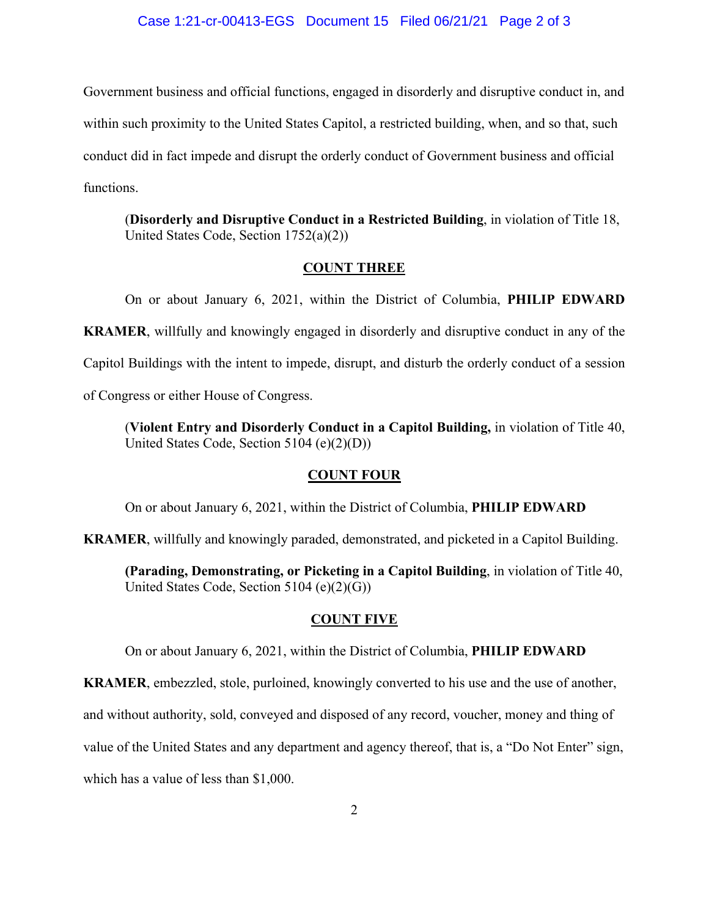#### Case 1:21-cr-00413-EGS Document 15 Filed 06/21/21 Page 2 of 3

Government business and official functions, engaged in disorderly and disruptive conduct in, and within such proximity to the United States Capitol, a restricted building, when, and so that, such conduct did in fact impede and disrupt the orderly conduct of Government business and official functions.

(**Disorderly and Disruptive Conduct in a Restricted Building**, in violation of Title 18, United States Code, Section 1752(a)(2))

### **COUNT THREE**

On or about January 6, 2021, within the District of Columbia, **PHILIP EDWARD KRAMER**, willfully and knowingly engaged in disorderly and disruptive conduct in any of the Capitol Buildings with the intent to impede, disrupt, and disturb the orderly conduct of a session of Congress or either House of Congress.

(**Violent Entry and Disorderly Conduct in a Capitol Building,** in violation of Title 40, United States Code, Section 5104 (e)(2)(D))

#### **COUNT FOUR**

On or about January 6, 2021, within the District of Columbia, **PHILIP EDWARD** 

**KRAMER**, willfully and knowingly paraded, demonstrated, and picketed in a Capitol Building.

**(Parading, Demonstrating, or Picketing in a Capitol Building**, in violation of Title 40, United States Code, Section 5104 (e)(2)(G))

### **COUNT FIVE**

On or about January 6, 2021, within the District of Columbia, **PHILIP EDWARD** 

**KRAMER**, embezzled, stole, purloined, knowingly converted to his use and the use of another,

and without authority, sold, conveyed and disposed of any record, voucher, money and thing of

value of the United States and any department and agency thereof, that is, a "Do Not Enter" sign,

which has a value of less than \$1,000.